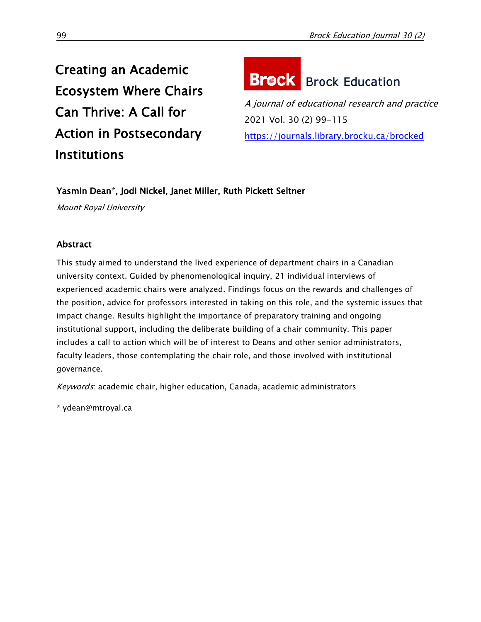Creating an Academic Ecosystem Where Chairs Can Thrive: A Call for Action in Postsecondary Institutions

# **Brock** Brock Education

A journal of educational research and practice 2021 Vol. 30 (2) 99-115 <https://journals.library.brocku.ca/brocked>

# Yasmin Dean\*, Jodi Nickel, Janet Miller, Ruth Pickett Seltner

Mount Royal University

# Abstract

This study aimed to understand the lived experience of department chairs in a Canadian university context. Guided by phenomenological inquiry, 21 individual interviews of experienced academic chairs were analyzed. Findings focus on the rewards and challenges of the position, advice for professors interested in taking on this role, and the systemic issues that impact change. Results highlight the importance of preparatory training and ongoing institutional support, including the deliberate building of a chair community. This paper includes a call to action which will be of interest to Deans and other senior administrators, faculty leaders, those contemplating the chair role, and those involved with institutional governance.

Keywords: academic chair, higher education, Canada, academic administrators

\* [ydean@mtroyal.ca](file:///E:/ydean@mtroyal.ca)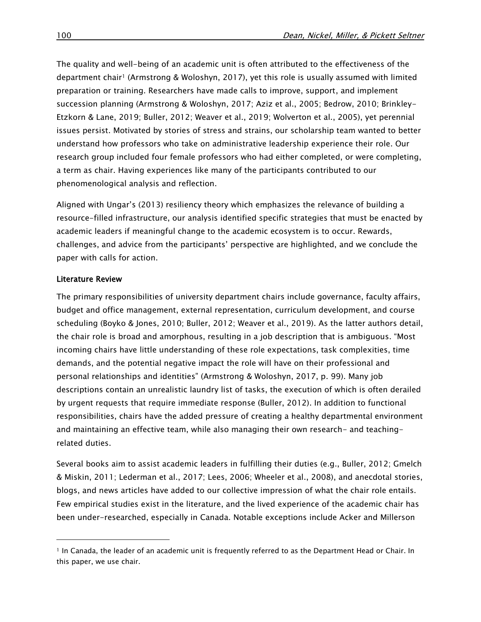The quality and well-being of an academic unit is often attributed to the effectiveness of the department chair<sup>1</sup> (Armstrong & Woloshyn, 2017), yet this role is usually assumed with limited preparation or training. Researchers have made calls to improve, support, and implement succession planning (Armstrong & Woloshyn, 2017; Aziz et al., 2005; Bedrow, 2010; Brinkley-Etzkorn & Lane, 2019; Buller, 2012; Weaver et al., 2019; Wolverton et al., 2005), yet perennial issues persist. Motivated by stories of stress and strains, our scholarship team wanted to better understand how professors who take on administrative leadership experience their role. Our research group included four female professors who had either completed, or were completing, a term as chair. Having experiences like many of the participants contributed to our phenomenological analysis and reflection.

Aligned with Ungar's (2013) resiliency theory which emphasizes the relevance of building a resource-filled infrastructure, our analysis identified specific strategies that must be enacted by academic leaders if meaningful change to the academic ecosystem is to occur. Rewards, challenges, and advice from the participants' perspective are highlighted, and we conclude the paper with calls for action.

## Literature Review

 $\overline{a}$ 

The primary responsibilities of university department chairs include governance, faculty affairs, budget and office management, external representation, curriculum development, and course scheduling (Boyko & Jones, 2010; Buller, 2012; Weaver et al., 2019). As the latter authors detail, the chair role is broad and amorphous, resulting in a job description that is ambiguous. "Most incoming chairs have little understanding of these role expectations, task complexities, time demands, and the potential negative impact the role will have on their professional and personal relationships and identities" (Armstrong & Woloshyn, 2017, p. 99). Many job descriptions contain an unrealistic laundry list of tasks, the execution of which is often derailed by urgent requests that require immediate response (Buller, 2012). In addition to functional responsibilities, chairs have the added pressure of creating a healthy departmental environment and maintaining an effective team, while also managing their own research- and teachingrelated duties.

Several books aim to assist academic leaders in fulfilling their duties (e.g., Buller, 2012; Gmelch & Miskin, 2011; Lederman et al., 2017; Lees, 2006; Wheeler et al., 2008), and anecdotal stories, blogs, and news articles have added to our collective impression of what the chair role entails. Few empirical studies exist in the literature, and the lived experience of the academic chair has been under-researched, especially in Canada. Notable exceptions include Acker and Millerson

<sup>1</sup> In Canada, the leader of an academic unit is frequently referred to as the Department Head or Chair. In this paper, we use chair.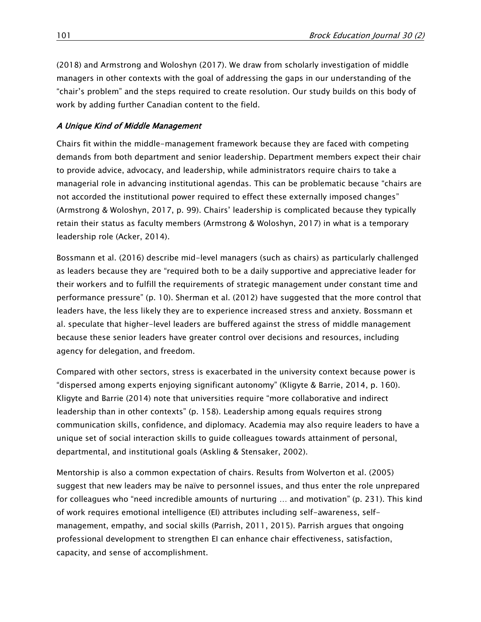(2018) and Armstrong and Woloshyn (2017). We draw from scholarly investigation of middle managers in other contexts with the goal of addressing the gaps in our understanding of the "chair's problem" and the steps required to create resolution. Our study builds on this body of work by adding further Canadian content to the field.

# A Unique Kind of Middle Management

Chairs fit within the middle-management framework because they are faced with competing demands from both department and senior leadership. Department members expect their chair to provide advice, advocacy, and leadership, while administrators require chairs to take a managerial role in advancing institutional agendas. This can be problematic because "chairs are not accorded the institutional power required to effect these externally imposed changes" (Armstrong & Woloshyn, 2017, p. 99). Chairs' leadership is complicated because they typically retain their status as faculty members (Armstrong & Woloshyn, 2017) in what is a temporary leadership role (Acker, 2014).

Bossmann et al. (2016) describe mid-level managers (such as chairs) as particularly challenged as leaders because they are "required both to be a daily supportive and appreciative leader for their workers and to fulfill the requirements of strategic management under constant time and performance pressure" (p. 10). Sherman et al. (2012) have suggested that the more control that leaders have, the less likely they are to experience increased stress and anxiety. Bossmann et al. speculate that higher-level leaders are buffered against the stress of middle management because these senior leaders have greater control over decisions and resources, including agency for delegation, and freedom.

Compared with other sectors, stress is exacerbated in the university context because power is "dispersed among experts enjoying significant autonomy" (Kligyte & Barrie, 2014, p. 160). Kligyte and Barrie (2014) note that universities require "more collaborative and indirect leadership than in other contexts" (p. 158). Leadership among equals requires strong communication skills, confidence, and diplomacy. Academia may also require leaders to have a unique set of social interaction skills to guide colleagues towards attainment of personal, departmental, and institutional goals (Askling & Stensaker, 2002).

Mentorship is also a common expectation of chairs. Results from Wolverton et al. (2005) suggest that new leaders may be naïve to personnel issues, and thus enter the role unprepared for colleagues who "need incredible amounts of nurturing … and motivation" (p. 231). This kind of work requires emotional intelligence (EI) attributes including self-awareness, selfmanagement, empathy, and social skills (Parrish, 2011, 2015). Parrish argues that ongoing professional development to strengthen EI can enhance chair effectiveness, satisfaction, capacity, and sense of accomplishment.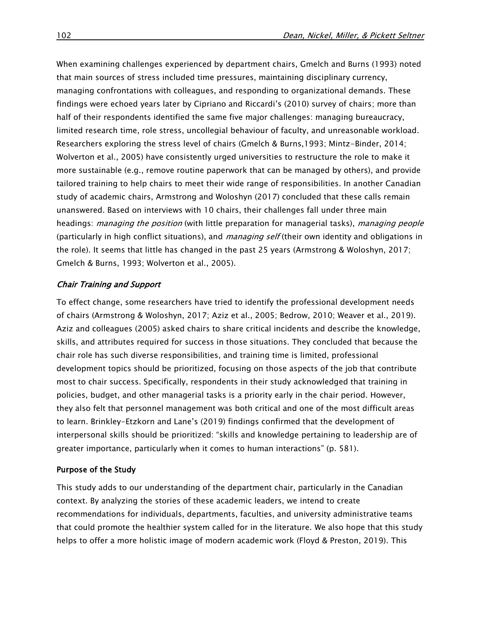When examining challenges experienced by department chairs, Gmelch and Burns (1993) noted that main sources of stress included time pressures, maintaining disciplinary currency, managing confrontations with colleagues, and responding to organizational demands. These findings were echoed years later by Cipriano and Riccardi's (2010) survey of chairs; more than half of their respondents identified the same five major challenges: managing bureaucracy, limited research time, role stress, uncollegial behaviour of faculty, and unreasonable workload. Researchers exploring the stress level of chairs (Gmelch & Burns,1993; Mintz-Binder, 2014; Wolverton et al., 2005) have consistently urged universities to restructure the role to make it more sustainable (e.g., remove routine paperwork that can be managed by others), and provide tailored training to help chairs to meet their wide range of responsibilities. In another Canadian study of academic chairs, Armstrong and Woloshyn (2017) concluded that these calls remain unanswered. Based on interviews with 10 chairs, their challenges fall under three main headings: *managing the position* (with little preparation for managerial tasks), managing people (particularly in high conflict situations), and *managing self* (their own identity and obligations in the role). It seems that little has changed in the past 25 years (Armstrong & Woloshyn, 2017; Gmelch & Burns, 1993; Wolverton et al., 2005).

## Chair Training and Support

To effect change, some researchers have tried to identify the professional development needs of chairs (Armstrong & Woloshyn, 2017; Aziz et al., 2005; Bedrow, 2010; Weaver et al., 2019). Aziz and colleagues (2005) asked chairs to share critical incidents and describe the knowledge, skills, and attributes required for success in those situations. They concluded that because the chair role has such diverse responsibilities, and training time is limited, professional development topics should be prioritized, focusing on those aspects of the job that contribute most to chair success. Specifically, respondents in their study acknowledged that training in policies, budget, and other managerial tasks is a priority early in the chair period. However, they also felt that personnel management was both critical and one of the most difficult areas to learn. Brinkley-Etzkorn and Lane's (2019) findings confirmed that the development of interpersonal skills should be prioritized: "skills and knowledge pertaining to leadership are of greater importance, particularly when it comes to human interactions" (p. 581).

#### Purpose of the Study

This study adds to our understanding of the department chair, particularly in the Canadian context. By analyzing the stories of these academic leaders, we intend to create recommendations for individuals, departments, faculties, and university administrative teams that could promote the healthier system called for in the literature. We also hope that this study helps to offer a more holistic image of modern academic work (Floyd & Preston, 2019). This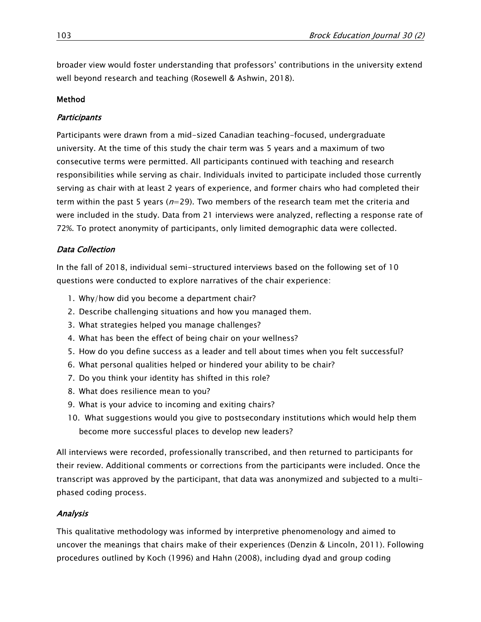broader view would foster understanding that professors' contributions in the university extend well beyond research and teaching (Rosewell & Ashwin, 2018).

## Method

## **Participants**

Participants were drawn from a mid-sized Canadian teaching-focused, undergraduate university. At the time of this study the chair term was 5 years and a maximum of two consecutive terms were permitted. All participants continued with teaching and research responsibilities while serving as chair. Individuals invited to participate included those currently serving as chair with at least 2 years of experience, and former chairs who had completed their term within the past 5 years ( $n=29$ ). Two members of the research team met the criteria and were included in the study. Data from 21 interviews were analyzed, reflecting a response rate of 72%. To protect anonymity of participants, only limited demographic data were collected.

# Data Collection

In the fall of 2018, individual semi-structured interviews based on the following set of 10 questions were conducted to explore narratives of the chair experience:

- 1. Why/how did you become a department chair?
- 2. Describe challenging situations and how you managed them.
- 3. What strategies helped you manage challenges?
- 4. What has been the effect of being chair on your wellness?
- 5. How do you define success as a leader and tell about times when you felt successful?
- 6. What personal qualities helped or hindered your ability to be chair?
- 7. Do you think your identity has shifted in this role?
- 8. What does resilience mean to you?
- 9. What is your advice to incoming and exiting chairs?
- 10. What suggestions would you give to postsecondary institutions which would help them become more successful places to develop new leaders?

All interviews were recorded, professionally transcribed, and then returned to participants for their review. Additional comments or corrections from the participants were included. Once the transcript was approved by the participant, that data was anonymized and subjected to a multiphased coding process.

# Analysis

This qualitative methodology was informed by interpretive phenomenology and aimed to uncover the meanings that chairs make of their experiences (Denzin & Lincoln, 2011). Following procedures outlined by Koch (1996) and Hahn (2008), including dyad and group coding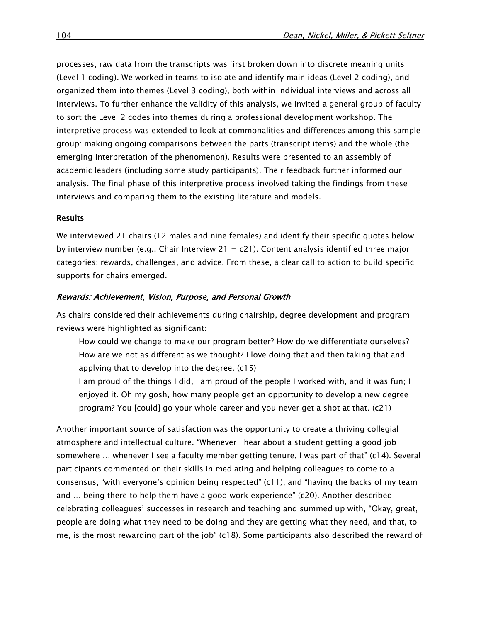processes, raw data from the transcripts was first broken down into discrete meaning units (Level 1 coding). We worked in teams to isolate and identify main ideas (Level 2 coding), and organized them into themes (Level 3 coding), both within individual interviews and across all interviews. To further enhance the validity of this analysis, we invited a general group of faculty to sort the Level 2 codes into themes during a professional development workshop. The interpretive process was extended to look at commonalities and differences among this sample group: making ongoing comparisons between the parts (transcript items) and the whole (the emerging interpretation of the phenomenon). Results were presented to an assembly of academic leaders (including some study participants). Their feedback further informed our analysis. The final phase of this interpretive process involved taking the findings from these interviews and comparing them to the existing literature and models.

#### Results

We interviewed 21 chairs (12 males and nine females) and identify their specific quotes below by interview number (e.g., Chair Interview 21 =  $c21$ ). Content analysis identified three major categories: rewards, challenges, and advice. From these, a clear call to action to build specific supports for chairs emerged.

#### Rewards: Achievement, Vision, Purpose, and Personal Growth

As chairs considered their achievements during chairship, degree development and program reviews were highlighted as significant:

- How could we change to make our program better? How do we differentiate ourselves? How are we not as different as we thought? I love doing that and then taking that and applying that to develop into the degree. (c15)
- I am proud of the things I did, I am proud of the people I worked with, and it was fun; I enjoyed it. Oh my gosh, how many people get an opportunity to develop a new degree program? You [could] go your whole career and you never get a shot at that. (c21)

Another important source of satisfaction was the opportunity to create a thriving collegial atmosphere and intellectual culture. "Whenever I hear about a student getting a good job somewhere … whenever I see a faculty member getting tenure, I was part of that" (c14). Several participants commented on their skills in mediating and helping colleagues to come to a consensus, "with everyone's opinion being respected" (c11), and "having the backs of my team and … being there to help them have a good work experience" (c20). Another described celebrating colleagues' successes in research and teaching and summed up with, "Okay, great, people are doing what they need to be doing and they are getting what they need, and that, to me, is the most rewarding part of the job" (c18). Some participants also described the reward of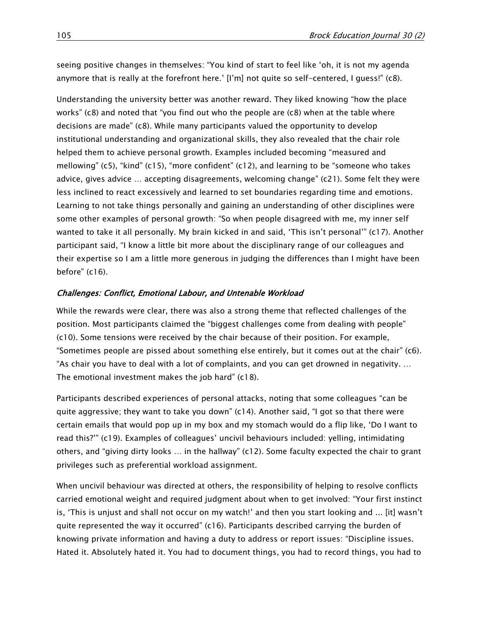seeing positive changes in themselves: "You kind of start to feel like 'oh, it is not my agenda anymore that is really at the forefront here.' [I'm] not quite so self-centered, I guess!" (c8).

Understanding the university better was another reward. They liked knowing "how the place works" ( $c8$ ) and noted that "you find out who the people are  $(c8)$  when at the table where decisions are made" (c8). While many participants valued the opportunity to develop institutional understanding and organizational skills, they also revealed that the chair role helped them to achieve personal growth. Examples included becoming "measured and mellowing" (c5), "kind" (c15), "more confident" (c12), and learning to be "someone who takes advice, gives advice … accepting disagreements, welcoming change" (c21). Some felt they were less inclined to react excessively and learned to set boundaries regarding time and emotions. Learning to not take things personally and gaining an understanding of other disciplines were some other examples of personal growth: "So when people disagreed with me, my inner self wanted to take it all personally. My brain kicked in and said, 'This isn't personal'" (c17). Another participant said, "I know a little bit more about the disciplinary range of our colleagues and their expertise so I am a little more generous in judging the differences than I might have been before" (c16).

## Challenges: Conflict, Emotional Labour, and Untenable Workload

While the rewards were clear, there was also a strong theme that reflected challenges of the position. Most participants claimed the "biggest challenges come from dealing with people" (c10). Some tensions were received by the chair because of their position. For example, "Sometimes people are pissed about something else entirely, but it comes out at the chair" (c6). "As chair you have to deal with a lot of complaints, and you can get drowned in negativity. … The emotional investment makes the job hard" (c18).

Participants described experiences of personal attacks, noting that some colleagues "can be quite aggressive; they want to take you down" (c14). Another said, "I got so that there were certain emails that would pop up in my box and my stomach would do a flip like, 'Do I want to read this?'" (c19). Examples of colleagues' uncivil behaviours included: yelling, intimidating others, and "giving dirty looks … in the hallway" (c12). Some faculty expected the chair to grant privileges such as preferential workload assignment.

When uncivil behaviour was directed at others, the responsibility of helping to resolve conflicts carried emotional weight and required judgment about when to get involved: "Your first instinct is, 'This is unjust and shall not occur on my watch!' and then you start looking and ... [it] wasn't quite represented the way it occurred" (c16). Participants described carrying the burden of knowing private information and having a duty to address or report issues: "Discipline issues. Hated it. Absolutely hated it. You had to document things, you had to record things, you had to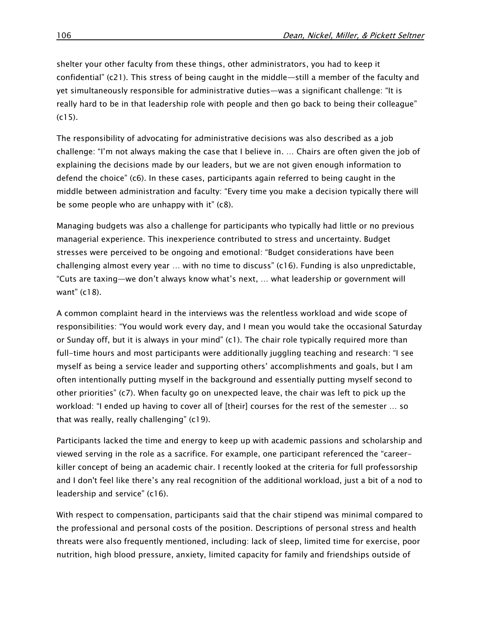shelter your other faculty from these things, other administrators, you had to keep it confidential" (c21). This stress of being caught in the middle—still a member of the faculty and yet simultaneously responsible for administrative duties—was a significant challenge: "It is really hard to be in that leadership role with people and then go back to being their colleague"  $(c15)$ .

The responsibility of advocating for administrative decisions was also described as a job challenge: "I'm not always making the case that I believe in. … Chairs are often given the job of explaining the decisions made by our leaders, but we are not given enough information to defend the choice" (c6). In these cases, participants again referred to being caught in the middle between administration and faculty: "Every time you make a decision typically there will be some people who are unhappy with it" (c8).

Managing budgets was also a challenge for participants who typically had little or no previous managerial experience. This inexperience contributed to stress and uncertainty. Budget stresses were perceived to be ongoing and emotional: "Budget considerations have been challenging almost every year … with no time to discuss" (c16). Funding is also unpredictable, "Cuts are taxing—we don't always know what's next, … what leadership or government will want" (c18).

A common complaint heard in the interviews was the relentless workload and wide scope of responsibilities: "You would work every day, and I mean you would take the occasional Saturday or Sunday off, but it is always in your mind" (c1). The chair role typically required more than full-time hours and most participants were additionally juggling teaching and research: "I see myself as being a service leader and supporting others' accomplishments and goals, but I am often intentionally putting myself in the background and essentially putting myself second to other priorities" (c7). When faculty go on unexpected leave, the chair was left to pick up the workload: "I ended up having to cover all of [their] courses for the rest of the semester … so that was really, really challenging" (c19).

Participants lacked the time and energy to keep up with academic passions and scholarship and viewed serving in the role as a sacrifice. For example, one participant referenced the "careerkiller concept of being an academic chair. I recently looked at the criteria for full professorship and I don't feel like there's any real recognition of the additional workload, just a bit of a nod to leadership and service" (c16).

With respect to compensation, participants said that the chair stipend was minimal compared to the professional and personal costs of the position. Descriptions of personal stress and health threats were also frequently mentioned, including: lack of sleep, limited time for exercise, poor nutrition, high blood pressure, anxiety, limited capacity for family and friendships outside of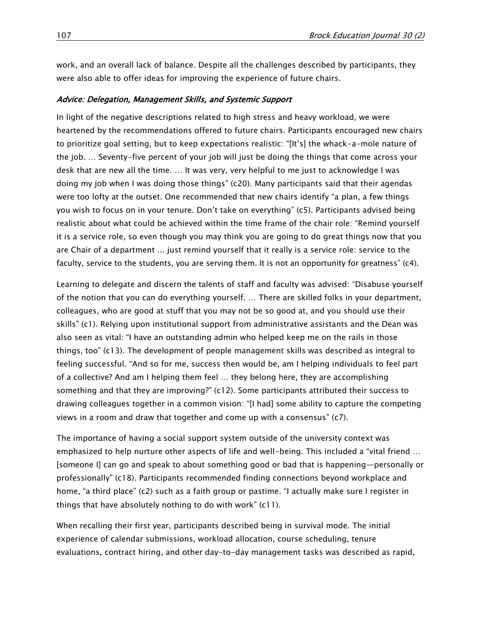work, and an overall lack of balance. Despite all the challenges described by participants, they were also able to offer ideas for improving the experience of future chairs.

#### Advice: Delegation, Management Skills, and Systemic Support

In light of the negative descriptions related to high stress and heavy workload, we were heartened by the recommendations offered to future chairs. Participants encouraged new chairs to prioritize goal setting, but to keep expectations realistic: "[It's] the whack-a-mole nature of the job. … Seventy-five percent of your job will just be doing the things that come across your desk that are new all the time. … It was very, very helpful to me just to acknowledge I was doing my job when I was doing those things" (c20). Many participants said that their agendas were too lofty at the outset. One recommended that new chairs identify "a plan, a few things you wish to focus on in your tenure. Don't take on everything" (c5). Participants advised being realistic about what could be achieved within the time frame of the chair role: "Remind yourself it is a service role, so even though you may think you are going to do great things now that you are Chair of a department ... just remind yourself that it really is a service role: service to the faculty, service to the students, you are serving them. It is not an opportunity for greatness" (c4).

Learning to delegate and discern the talents of staff and faculty was advised: "Disabuse yourself of the notion that you can do everything yourself. … There are skilled folks in your department, colleagues, who are good at stuff that you may not be so good at, and you should use their skills" (c1). Relying upon institutional support from administrative assistants and the Dean was also seen as vital: "I have an outstanding admin who helped keep me on the rails in those things, too" (c13). The development of people management skills was described as integral to feeling successful. "And so for me, success then would be, am I helping individuals to feel part of a collective? And am I helping them feel … they belong here, they are accomplishing something and that they are improving?" (c12). Some participants attributed their success to drawing colleagues together in a common vision: "[I had] some ability to capture the competing views in a room and draw that together and come up with a consensus" (c7).

The importance of having a social support system outside of the university context was emphasized to help nurture other aspects of life and well-being. This included a "vital friend … [someone I] can go and speak to about something good or bad that is happening—personally or professionally" (c18). Participants recommended finding connections beyond workplace and home, "a third place" (c2) such as a faith group or pastime. "I actually make sure I register in things that have absolutely nothing to do with work" (c11).

When recalling their first year, participants described being in survival mode. The initial experience of calendar submissions, workload allocation, course scheduling, tenure evaluations, contract hiring, and other day-to-day management tasks was described as rapid,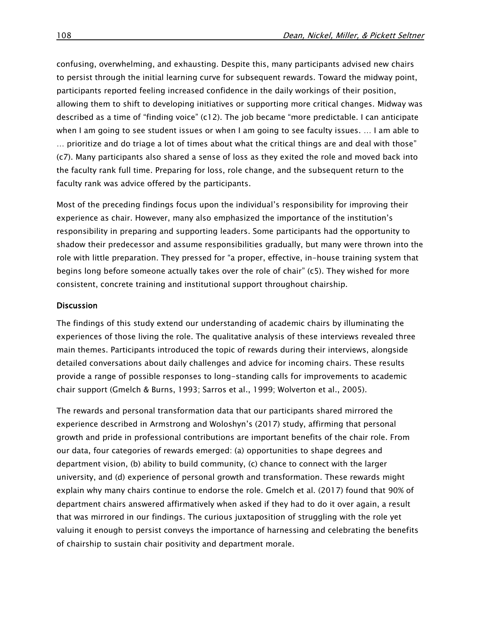confusing, overwhelming, and exhausting. Despite this, many participants advised new chairs to persist through the initial learning curve for subsequent rewards. Toward the midway point, participants reported feeling increased confidence in the daily workings of their position, allowing them to shift to developing initiatives or supporting more critical changes. Midway was described as a time of "finding voice" (c12). The job became "more predictable. I can anticipate when I am going to see student issues or when I am going to see faculty issues. … I am able to … prioritize and do triage a lot of times about what the critical things are and deal with those" (c7). Many participants also shared a sense of loss as they exited the role and moved back into the faculty rank full time. Preparing for loss, role change, and the subsequent return to the faculty rank was advice offered by the participants.

Most of the preceding findings focus upon the individual's responsibility for improving their experience as chair. However, many also emphasized the importance of the institution's responsibility in preparing and supporting leaders. Some participants had the opportunity to shadow their predecessor and assume responsibilities gradually, but many were thrown into the role with little preparation. They pressed for "a proper, effective, in-house training system that begins long before someone actually takes over the role of chair" (c5). They wished for more consistent, concrete training and institutional support throughout chairship.

#### **Discussion**

The findings of this study extend our understanding of academic chairs by illuminating the experiences of those living the role. The qualitative analysis of these interviews revealed three main themes. Participants introduced the topic of rewards during their interviews, alongside detailed conversations about daily challenges and advice for incoming chairs. These results provide a range of possible responses to long-standing calls for improvements to academic chair support (Gmelch & Burns, 1993; Sarros et al., 1999; Wolverton et al., 2005).

The rewards and personal transformation data that our participants shared mirrored the experience described in Armstrong and Woloshyn's (2017) study, affirming that personal growth and pride in professional contributions are important benefits of the chair role. From our data, four categories of rewards emerged: (a) opportunities to shape degrees and department vision, (b) ability to build community, (c) chance to connect with the larger university, and (d) experience of personal growth and transformation. These rewards might explain why many chairs continue to endorse the role. Gmelch et al. (2017) found that 90% of department chairs answered affirmatively when asked if they had to do it over again, a result that was mirrored in our findings. The curious juxtaposition of struggling with the role yet valuing it enough to persist conveys the importance of harnessing and celebrating the benefits of chairship to sustain chair positivity and department morale.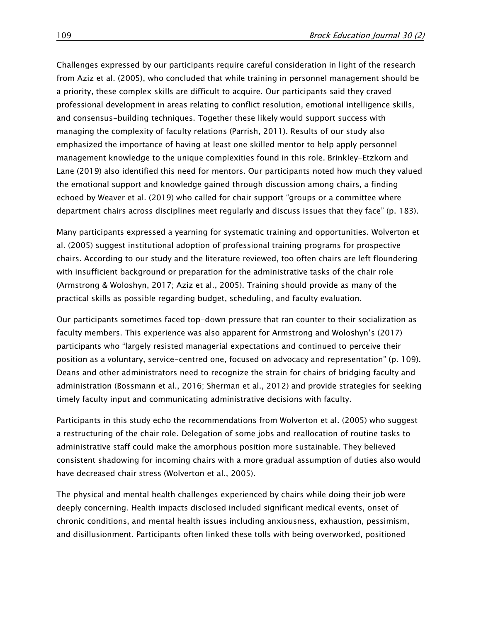Challenges expressed by our participants require careful consideration in light of the research from Aziz et al. (2005), who concluded that while training in personnel management should be a priority, these complex skills are difficult to acquire. Our participants said they craved professional development in areas relating to conflict resolution, emotional intelligence skills, and consensus-building techniques. Together these likely would support success with managing the complexity of faculty relations (Parrish, 2011). Results of our study also emphasized the importance of having at least one skilled mentor to help apply personnel management knowledge to the unique complexities found in this role. Brinkley-Etzkorn and Lane (2019) also identified this need for mentors. Our participants noted how much they valued the emotional support and knowledge gained through discussion among chairs, a finding echoed by Weaver et al. (2019) who called for chair support "groups or a committee where department chairs across disciplines meet regularly and discuss issues that they face" (p. 183).

Many participants expressed a yearning for systematic training and opportunities. Wolverton et al. (2005) suggest institutional adoption of professional training programs for prospective chairs. According to our study and the literature reviewed, too often chairs are left floundering with insufficient background or preparation for the administrative tasks of the chair role (Armstrong & Woloshyn, 2017; Aziz et al., 2005). Training should provide as many of the practical skills as possible regarding budget, scheduling, and faculty evaluation.

Our participants sometimes faced top-down pressure that ran counter to their socialization as faculty members. This experience was also apparent for Armstrong and Woloshyn's (2017) participants who "largely resisted managerial expectations and continued to perceive their position as a voluntary, service-centred one, focused on advocacy and representation" (p. 109). Deans and other administrators need to recognize the strain for chairs of bridging faculty and administration (Bossmann et al., 2016; Sherman et al., 2012) and provide strategies for seeking timely faculty input and communicating administrative decisions with faculty.

Participants in this study echo the recommendations from Wolverton et al. (2005) who suggest a restructuring of the chair role. Delegation of some jobs and reallocation of routine tasks to administrative staff could make the amorphous position more sustainable. They believed consistent shadowing for incoming chairs with a more gradual assumption of duties also would have decreased chair stress (Wolverton et al., 2005).

The physical and mental health challenges experienced by chairs while doing their job were deeply concerning. Health impacts disclosed included significant medical events, onset of chronic conditions, and mental health issues including anxiousness, exhaustion, pessimism, and disillusionment. Participants often linked these tolls with being overworked, positioned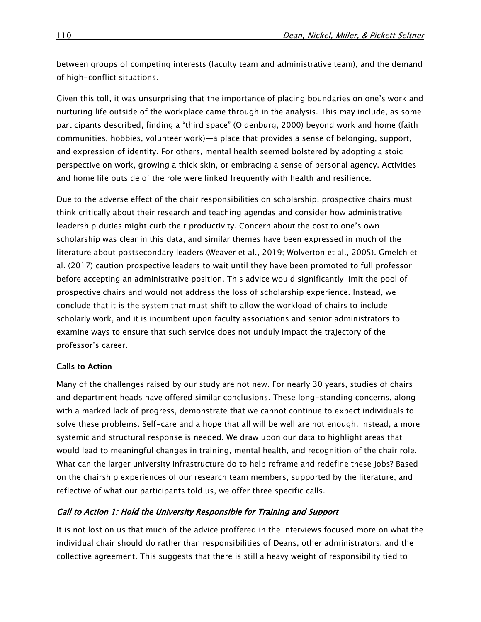between groups of competing interests (faculty team and administrative team), and the demand of high-conflict situations.

Given this toll, it was unsurprising that the importance of placing boundaries on one's work and nurturing life outside of the workplace came through in the analysis. This may include, as some participants described, finding a "third space" (Oldenburg, 2000) beyond work and home (faith communities, hobbies, volunteer work)—a place that provides a sense of belonging, support, and expression of identity. For others, mental health seemed bolstered by adopting a stoic perspective on work, growing a thick skin, or embracing a sense of personal agency. Activities and home life outside of the role were linked frequently with health and resilience.

Due to the adverse effect of the chair responsibilities on scholarship, prospective chairs must think critically about their research and teaching agendas and consider how administrative leadership duties might curb their productivity. Concern about the cost to one's own scholarship was clear in this data, and similar themes have been expressed in much of the literature about postsecondary leaders (Weaver et al., 2019; Wolverton et al., 2005). Gmelch et al. (2017) caution prospective leaders to wait until they have been promoted to full professor before accepting an administrative position. This advice would significantly limit the pool of prospective chairs and would not address the loss of scholarship experience. Instead, we conclude that it is the system that must shift to allow the workload of chairs to include scholarly work, and it is incumbent upon faculty associations and senior administrators to examine ways to ensure that such service does not unduly impact the trajectory of the professor's career.

## Calls to Action

Many of the challenges raised by our study are not new. For nearly 30 years, studies of chairs and department heads have offered similar conclusions. These long-standing concerns, along with a marked lack of progress, demonstrate that we cannot continue to expect individuals to solve these problems. Self-care and a hope that all will be well are not enough. Instead, a more systemic and structural response is needed. We draw upon our data to highlight areas that would lead to meaningful changes in training, mental health, and recognition of the chair role. What can the larger university infrastructure do to help reframe and redefine these jobs? Based on the chairship experiences of our research team members, supported by the literature, and reflective of what our participants told us, we offer three specific calls.

## Call to Action 1: Hold the University Responsible for Training and Support

It is not lost on us that much of the advice proffered in the interviews focused more on what the individual chair should do rather than responsibilities of Deans, other administrators, and the collective agreement. This suggests that there is still a heavy weight of responsibility tied to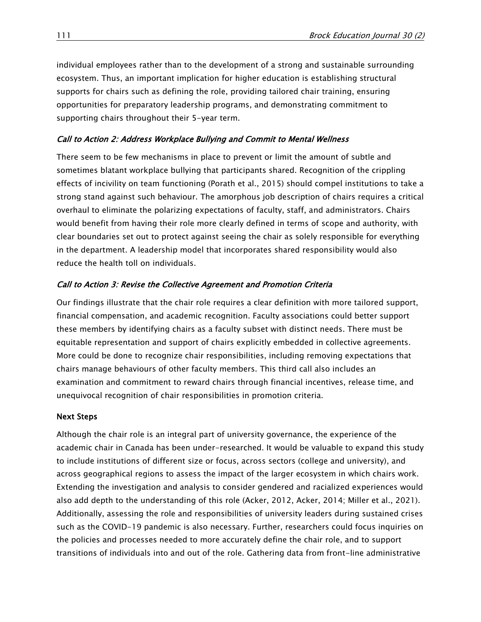individual employees rather than to the development of a strong and sustainable surrounding ecosystem. Thus, an important implication for higher education is establishing structural supports for chairs such as defining the role, providing tailored chair training, ensuring opportunities for preparatory leadership programs, and demonstrating commitment to supporting chairs throughout their 5-year term.

# Call to Action 2: Address Workplace Bullying and Commit to Mental Wellness

There seem to be few mechanisms in place to prevent or limit the amount of subtle and sometimes blatant workplace bullying that participants shared. Recognition of the crippling effects of incivility on team functioning (Porath et al., 2015) should compel institutions to take a strong stand against such behaviour. The amorphous job description of chairs requires a critical overhaul to eliminate the polarizing expectations of faculty, staff, and administrators. Chairs would benefit from having their role more clearly defined in terms of scope and authority, with clear boundaries set out to protect against seeing the chair as solely responsible for everything in the department. A leadership model that incorporates shared responsibility would also reduce the health toll on individuals.

# Call to Action 3: Revise the Collective Agreement and Promotion Criteria

Our findings illustrate that the chair role requires a clear definition with more tailored support, financial compensation, and academic recognition. Faculty associations could better support these members by identifying chairs as a faculty subset with distinct needs. There must be equitable representation and support of chairs explicitly embedded in collective agreements. More could be done to recognize chair responsibilities, including removing expectations that chairs manage behaviours of other faculty members. This third call also includes an examination and commitment to reward chairs through financial incentives, release time, and unequivocal recognition of chair responsibilities in promotion criteria.

# Next Steps

Although the chair role is an integral part of university governance, the experience of the academic chair in Canada has been under-researched. It would be valuable to expand this study to include institutions of different size or focus, across sectors (college and university), and across geographical regions to assess the impact of the larger ecosystem in which chairs work. Extending the investigation and analysis to consider gendered and racialized experiences would also add depth to the understanding of this role (Acker, 2012, Acker, 2014; Miller et al., 2021). Additionally, assessing the role and responsibilities of university leaders during sustained crises such as the COVID-19 pandemic is also necessary. Further, researchers could focus inquiries on the policies and processes needed to more accurately define the chair role, and to support transitions of individuals into and out of the role. Gathering data from front-line administrative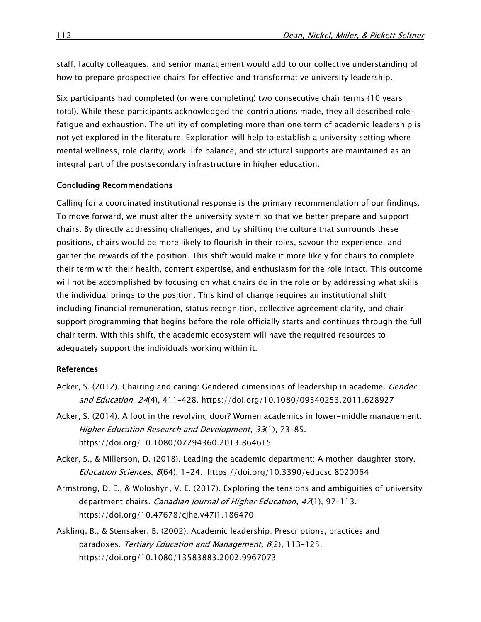staff, faculty colleagues, and senior management would add to our collective understanding of how to prepare prospective chairs for effective and transformative university leadership.

Six participants had completed (or were completing) two consecutive chair terms (10 years total). While these participants acknowledged the contributions made, they all described rolefatigue and exhaustion. The utility of completing more than one term of academic leadership is not yet explored in the literature. Exploration will help to establish a university setting where mental wellness, role clarity, work-life balance, and structural supports are maintained as an integral part of the postsecondary infrastructure in higher education.

#### Concluding Recommendations

Calling for a coordinated institutional response is the primary recommendation of our findings. To move forward, we must alter the university system so that we better prepare and support chairs. By directly addressing challenges, and by shifting the culture that surrounds these positions, chairs would be more likely to flourish in their roles, savour the experience, and garner the rewards of the position. This shift would make it more likely for chairs to complete their term with their health, content expertise, and enthusiasm for the role intact. This outcome will not be accomplished by focusing on what chairs do in the role or by addressing what skills the individual brings to the position. This kind of change requires an institutional shift including financial remuneration, status recognition, collective agreement clarity, and chair support programming that begins before the role officially starts and continues through the full chair term. With this shift, the academic ecosystem will have the required resources to adequately support the individuals working within it.

#### References

- Acker, S. (2012). Chairing and caring: Gendered dimensions of leadership in academe. *Gender* and Education, 24(4), 411–428. <https://doi.org/10.1080/09540253.2011.628927>
- Acker, S. (2014). A foot in the revolving door? Women academics in lower-middle management. Higher Education Research and Development, 33(1), 73–85[.](https://doi.org/10.1080/07294360.2013.864615) <https://doi.org/10.1080/07294360.2013.864615>
- Acker, S., & Millerson, D. (2018). Leading the academic department: A mother–daughter story. Education Sciences, 8(64), 1-24[.](http://dx.doi.org/10.3390/educsci8020064) <https://doi.org/10.3390/educsci8020064>
- Armstrong, D. E., & Woloshyn, V. E. (2017). Exploring the tensions and ambiguities of university department chairs. Canadian Journal of Higher Education, 47(1), 97-113. <https://doi.org/10.47678/cjhe.v47i1.186470>
- Askling, B., & Stensaker, B. (2002). Academic leadership: Prescriptions, practices and paradoxes[.](https://doi.org/10.1080/13583883.2002.9967073) Tertiary Education and Management, 8(2), 113-125. <https://doi.org/10.1080/13583883.2002.9967073>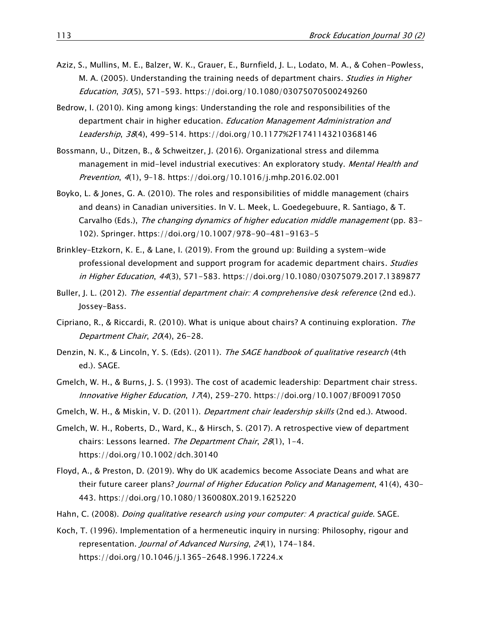- Aziz, S., Mullins, M. E., Balzer, W. K., Grauer, E., Burnfield, J. L., Lodato, M. A., & Cohen-Powless, M. A. (2005). Understanding the training needs of department chairs. Studies in Higher Education, 30(5), 571–593[. https://doi.org/10.1080/03075070500249260](https://doi.org/10.1080/03075070500249260)
- Bedrow, I. (2010). King among kings: Understanding the role and responsibilities of the department chair in higher education. Education Management Administration and Leadership, 38(4), 499–514.<https://doi.org/10.1177%2F1741143210368146>
- Bossmann, U., Ditzen, B., & Schweitzer, J. (2016). Organizational stress and dilemma management in mid-level industrial executives: An exploratory study. Mental Health and Prevention, 4(1), 9–18. <https://doi.org/10.1016/j.mhp.2016.02.001>
- Boyko, L. & Jones, G. A. (2010)[. The roles and responsibilities of middle management \(chairs](http://www.ccubc.ca/chairs_boyko.pdf)  [and deans\) in Canadian universities. In V. L. Meek, L. Goedegebuure, R. Santiago, & T.](http://www.ccubc.ca/chairs_boyko.pdf)  [Carvalho \(Eds.\),](http://www.ccubc.ca/chairs_boyko.pdf) [The changing dynamics of higher education middle management](http://www.ccubc.ca/chairs_boyko.pdf) [\(pp. 83-](http://www.ccubc.ca/chairs_boyko.pdf) [102\). Springer.](http://www.ccubc.ca/chairs_boyko.pdf) <https://doi.org/10.1007/978-90-481-9163-5>
- Brinkley-Etzkorn, K. E., & Lane, I. (2019). From the ground up: Building a system-wide professional development and support program for academic department chairs. Studies in Higher Education, <sup>44</sup>(3), 571-583.<https://doi.org/10.1080/03075079.2017.1389877>
- Buller, J. L. (2012). [The essential department chair: A comprehensive desk reference](https://librarysearch.mtroyal.ca/discovery/fulldisplay?docid=alma9923175831004656&context=L&vid=01MTROYAL_INST:02MTROYAL_INST&lang=en&search_scope=All&adaptor=Local%20Search%20Engine&tab=Everything&query=any,contains,the%20essential%20department%20chair) (2nd ed.). Jossey-Bass.
- Cipriano, R., & Riccardi, R. (2010). What is unique about chairs? A continuing exploration. The Department Chair, 20(4), 26-28.
- Denzin, N. K., & Lincoln, Y. S. (Eds). (2011). *The SAGE handbook of qualitative research* (4th ed.). SAGE.
- Gmelch, W. H., & Burns, J. S. (1993). The cost of academic leadership: Department chair stress. Innovative Higher Education,  $17(4)$ , 259-270. <https://doi.org/10.1007/BF00917050>
- Gmelch, W. H., & Miskin, V. D. (2011). *Department chair leadership skills* (2nd ed.). Atwood.
- Gmelch, W. H., Roberts, D., Ward, K., & Hirsch, S. (2017). A retrospective view of department chairs: Lessons learned. The Department Chair, 28(1), 1-4. <https://doi.org/10.1002/dch.30140>
- Floyd, A., & Preston, D. (2019). Why do UK academics become Associate Deans and what are their future career plans? Journal of Higher Education Policy and Management, 41(4), 430– 443.<https://doi.org/10.1080/1360080X.2019.1625220>
- Hahn, C. (2008). *Doing qualitative research using your computer: A practical guide*. SAGE.
- Koch, T. (1996). Implementation of a hermeneutic inquiry in nursing: Philosophy, rigour and representation. Journal of Advanced Nursing, 24(1), 174-184. <https://doi.org/10.1046/j.1365-2648.1996.17224.x>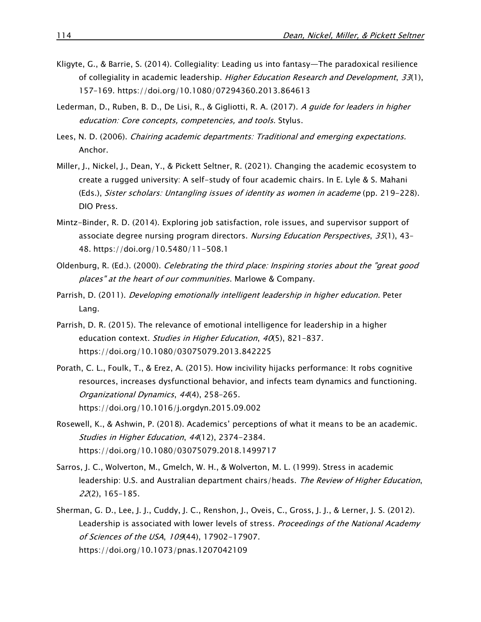- Kligyte, G., & Barrie, S. (2014). Collegiality: Leading us into fantasy—The paradoxical resilience of collegiality in academic leadership. Higher Education Research and Development, 33(1), 157–169. <https://doi.org/10.1080/07294360.2013.864613>
- Lederman, D., Ruben, B. D., De Lisi, R., & Gigliotti, R. A. (2017). A guide for leaders in higher education: Core concepts, competencies, and tools. Stylus.
- Lees, N. D. (2006). Chairing academic departments: Traditional and emerging expectations. Anchor.
- Miller, J., Nickel, J., Dean, Y., & Pickett Seltner, R. (2021). Changing the academic ecosystem to create a rugged university: A self-study of four academic chairs. In E. Lyle & S. Mahani (Eds.), Sister scholars: Untangling issues of identity as women in academe (pp. 219-228). DIO Press.
- Mintz-Binder, R. D. (2014). Exploring job satisfaction, role issues, and supervisor support of associate degree nursing program directors. Nursing Education Perspectives, 35(1), 43-48. <https://doi.org/10.5480/11-508.1>
- Oldenburg, R. (Ed.). (2000). Celebrating the third place: Inspiring stories about the "great good places" at the heart of our communities. Marlowe & Company.
- Parrish, D. (2011). *Developing emotionally intelligent leadership in higher education*. Peter Lang.
- Parrish, D. R. (2015). The relevance of emotional intelligence for leadership in a higher education context. Studies in Higher Education, 40(5), 821-837. <https://doi.org/10.1080/03075079.2013.842225>
- Porath, C. L., Foulk, T., & Erez, A. (2015). How incivility hijacks performance: It robs cognitive resources, increases dysfunctional behavior, and infects team dynamics and functioning. Organizational Dynamics, 44(4), 258–265. <https://doi.org/10.1016/j.orgdyn.2015.09.002>
- Rosewell, K., & Ashwin, P. (2018). Academics' perceptions of what it means to be an academic. Studies in Higher Education, 44(12), 2374-2384. <https://doi.org/10.1080/03075079.2018.1499717>
- Sarros, J. C., Wolverton, M., Gmelch, W. H., & Wolverton, M. L. (1999). Stress in academic leadership: U.S. and Australian department chairs/heads. The Review of Higher Education, 22(2), 165–185.
- Sherman, G. D., Lee, J. J., Cuddy, J. C., Renshon, J., Oveis, C., Gross, J. J., & Lerner, J. S. (2012). Leadership is associated with lower levels of stress. Proceedings of the National Academy of Sciences of the USA, 109(44), 17902-17907. <https://doi.org/10.1073/pnas.1207042109>